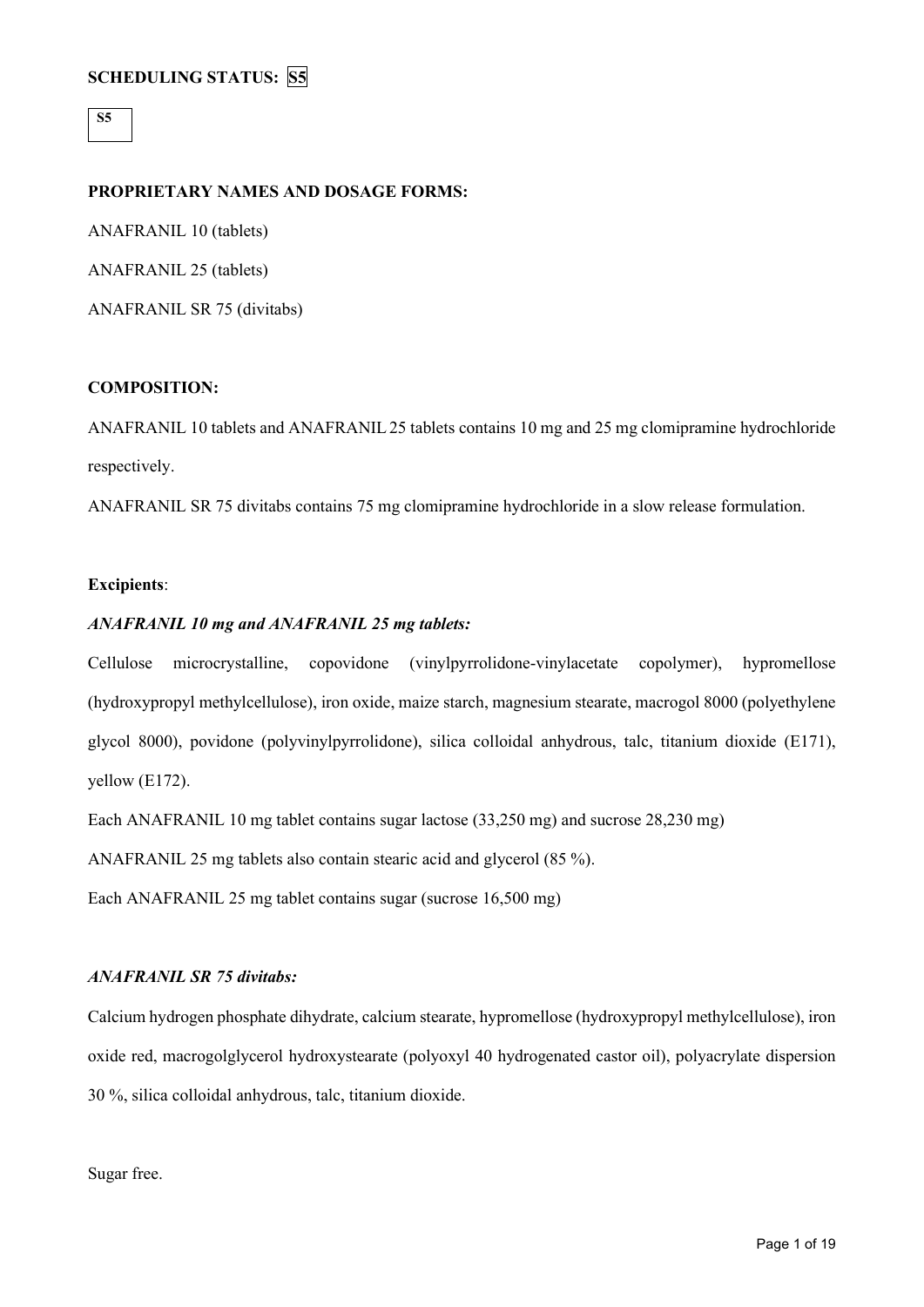**S5**

## **PROPRIETARY NAMES AND DOSAGE FORMS:**

ANAFRANIL 10 (tablets) ANAFRANIL 25 (tablets) ANAFRANIL SR 75 (divitabs)

## **COMPOSITION:**

ANAFRANIL 10 tablets and ANAFRANIL25 tablets contains 10 mg and 25 mg clomipramine hydrochloride respectively.

ANAFRANIL SR 75 divitabs contains 75 mg clomipramine hydrochloride in a slow release formulation.

## **Excipients**:

## *ANAFRANIL 10 mg and ANAFRANIL 25 mg tablets:*

Cellulose microcrystalline, copovidone (vinylpyrrolidone-vinylacetate copolymer), hypromellose (hydroxypropyl methylcellulose), iron oxide, maize starch, magnesium stearate, macrogol 8000 (polyethylene glycol 8000), povidone (polyvinylpyrrolidone), silica colloidal anhydrous, talc, titanium dioxide (E171), yellow (E172).

Each ANAFRANIL 10 mg tablet contains sugar lactose (33,250 mg) and sucrose 28,230 mg)

ANAFRANIL 25 mg tablets also contain stearic acid and glycerol (85 %).

Each ANAFRANIL 25 mg tablet contains sugar (sucrose 16,500 mg)

## *ANAFRANIL SR 75 divitabs:*

Calcium hydrogen phosphate dihydrate, calcium stearate, hypromellose (hydroxypropyl methylcellulose), iron oxide red, macrogolglycerol hydroxystearate (polyoxyl 40 hydrogenated castor oil), polyacrylate dispersion 30 %, silica colloidal anhydrous, talc, titanium dioxide.

Sugar free.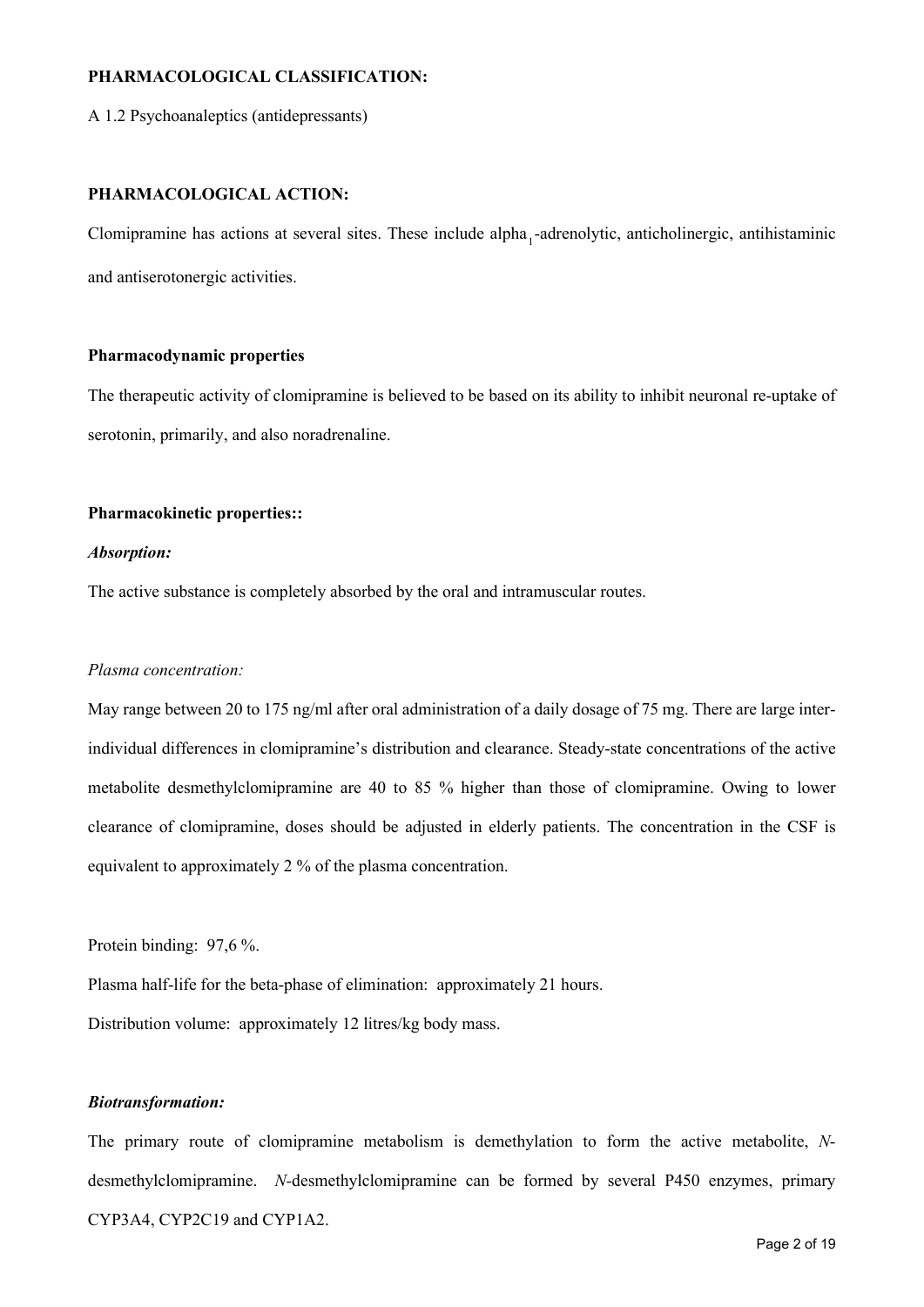# **PHARMACOLOGICAL CLASSIFICATION:**

A 1.2 Psychoanaleptics (antidepressants)

## **PHARMACOLOGICAL ACTION:**

Clomipramine has actions at several sites. These include alpha<sub>1</sub>-adrenolytic, anticholinergic, antihistaminic and antiserotonergic activities.

### **Pharmacodynamic properties**

The therapeutic activity of clomipramine is believed to be based on its ability to inhibit neuronal re-uptake of serotonin, primarily, and also noradrenaline.

#### **Pharmacokinetic properties::**

#### *Absorption:*

The active substance is completely absorbed by the oral and intramuscular routes.

## *Plasma concentration:*

May range between 20 to 175 ng/ml after oral administration of a daily dosage of 75 mg. There are large interindividual differences in clomipramine's distribution and clearance. Steady-state concentrations of the active metabolite desmethylclomipramine are 40 to 85 % higher than those of clomipramine. Owing to lower clearance of clomipramine, doses should be adjusted in elderly patients. The concentration in the CSF is equivalent to approximately 2 % of the plasma concentration.

Protein binding: 97,6 %.

Plasma half-life for the beta-phase of elimination: approximately 21 hours.

Distribution volume: approximately 12 litres/kg body mass.

### *Biotransformation:*

The primary route of clomipramine metabolism is demethylation to form the active metabolite, *N*desmethylclomipramine. *N-*desmethylclomipramine can be formed by several P450 enzymes, primary CYP3A4, CYP2C19 and CYP1A2.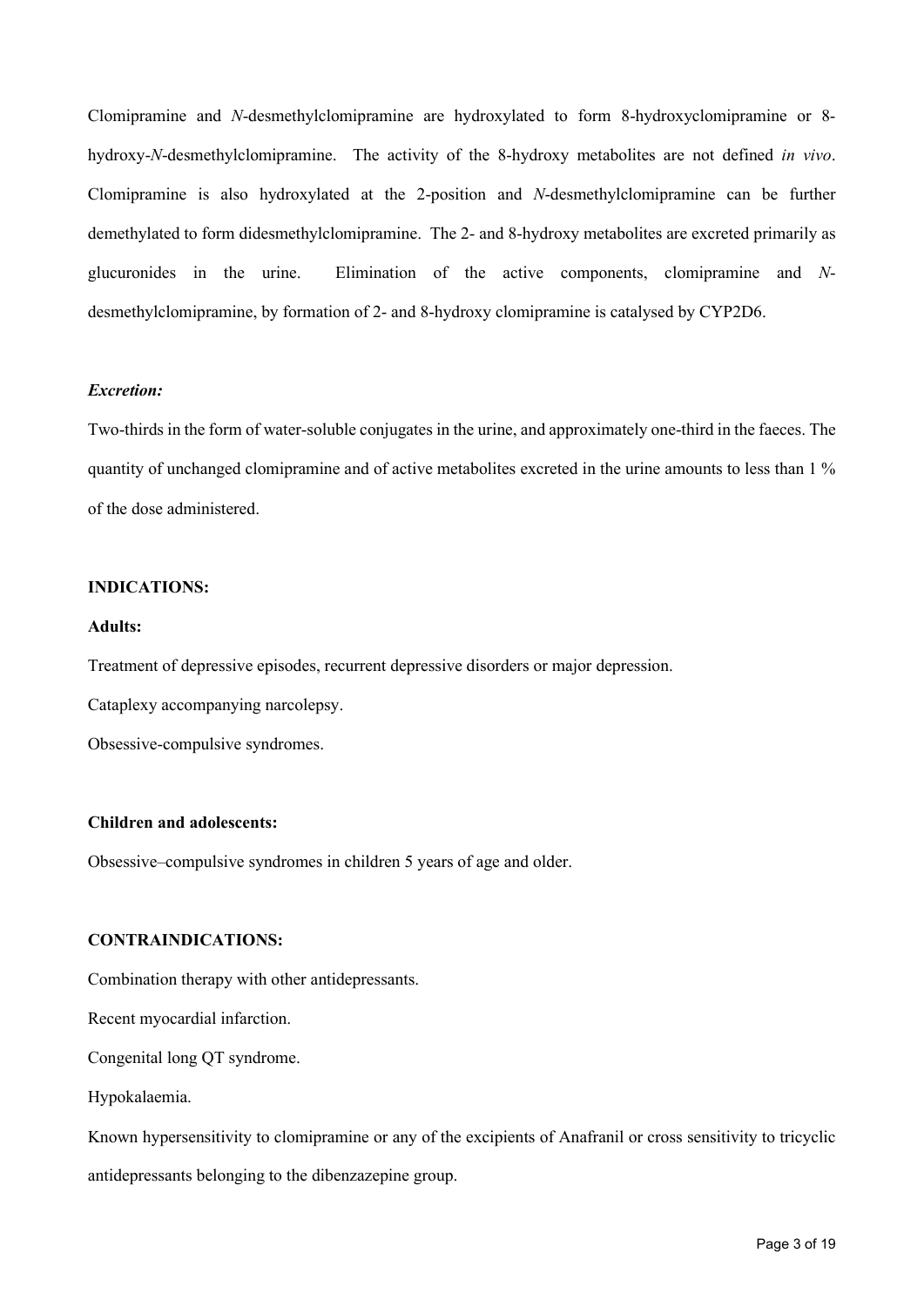Clomipramine and *N*-desmethylclomipramine are hydroxylated to form 8-hydroxyclomipramine or 8 hydroxy-*N*-desmethylclomipramine. The activity of the 8-hydroxy metabolites are not defined *in vivo*. Clomipramine is also hydroxylated at the 2-position and *N*-desmethylclomipramine can be further demethylated to form didesmethylclomipramine. The 2- and 8-hydroxy metabolites are excreted primarily as glucuronides in the urine. Elimination of the active components, clomipramine and *N*desmethylclomipramine, by formation of 2- and 8-hydroxy clomipramine is catalysed by CYP2D6.

## *Excretion:*

Two-thirds in the form of water-soluble conjugates in the urine, and approximately one-third in the faeces. The quantity of unchanged clomipramine and of active metabolites excreted in the urine amounts to less than 1 % of the dose administered.

## **INDICATIONS:**

#### **Adults:**

Treatment of depressive episodes, recurrent depressive disorders or major depression.

Cataplexy accompanying narcolepsy.

Obsessive-compulsive syndromes.

## **Children and adolescents:**

Obsessive–compulsive syndromes in children 5 years of age and older.

#### **CONTRAINDICATIONS:**

Combination therapy with other antidepressants.

Recent myocardial infarction.

Congenital long QT syndrome.

Hypokalaemia.

Known hypersensitivity to clomipramine or any of the excipients of Anafranil or cross sensitivity to tricyclic antidepressants belonging to the dibenzazepine group.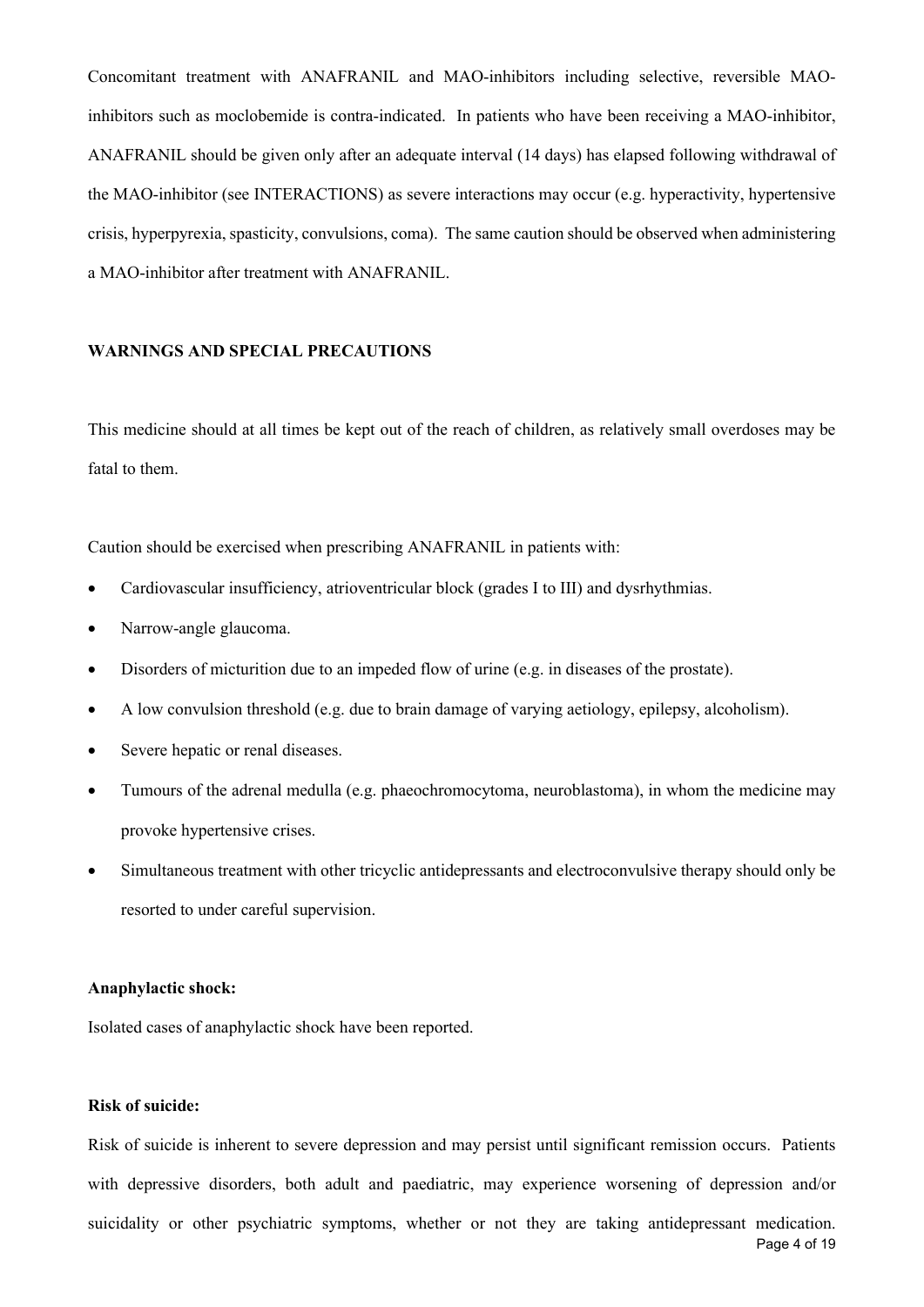Concomitant treatment with ANAFRANIL and MAO-inhibitors including selective, reversible MAOinhibitors such as moclobemide is contra-indicated. In patients who have been receiving a MAO-inhibitor, ANAFRANIL should be given only after an adequate interval (14 days) has elapsed following withdrawal of the MAO-inhibitor (see INTERACTIONS) as severe interactions may occur (e.g. hyperactivity, hypertensive crisis, hyperpyrexia, spasticity, convulsions, coma). The same caution should be observed when administering a MAO-inhibitor after treatment with ANAFRANIL.

## **WARNINGS AND SPECIAL PRECAUTIONS**

This medicine should at all times be kept out of the reach of children, as relatively small overdoses may be fatal to them.

Caution should be exercised when prescribing ANAFRANIL in patients with:

- Cardiovascular insufficiency, atrioventricular block (grades I to III) and dysrhythmias.
- Narrow-angle glaucoma.
- Disorders of micturition due to an impeded flow of urine (e.g. in diseases of the prostate).
- A low convulsion threshold (e.g. due to brain damage of varying aetiology, epilepsy, alcoholism).
- Severe hepatic or renal diseases.
- Tumours of the adrenal medulla (e.g. phaeochromocytoma, neuroblastoma), in whom the medicine may provoke hypertensive crises.
- Simultaneous treatment with other tricyclic antidepressants and electroconvulsive therapy should only be resorted to under careful supervision.

#### **Anaphylactic shock:**

Isolated cases of anaphylactic shock have been reported.

#### **Risk of suicide:**

Page 4 of 19 Risk of suicide is inherent to severe depression and may persist until significant remission occurs.Patients with depressive disorders, both adult and paediatric, may experience worsening of depression and/or suicidality or other psychiatric symptoms, whether or not they are taking antidepressant medication.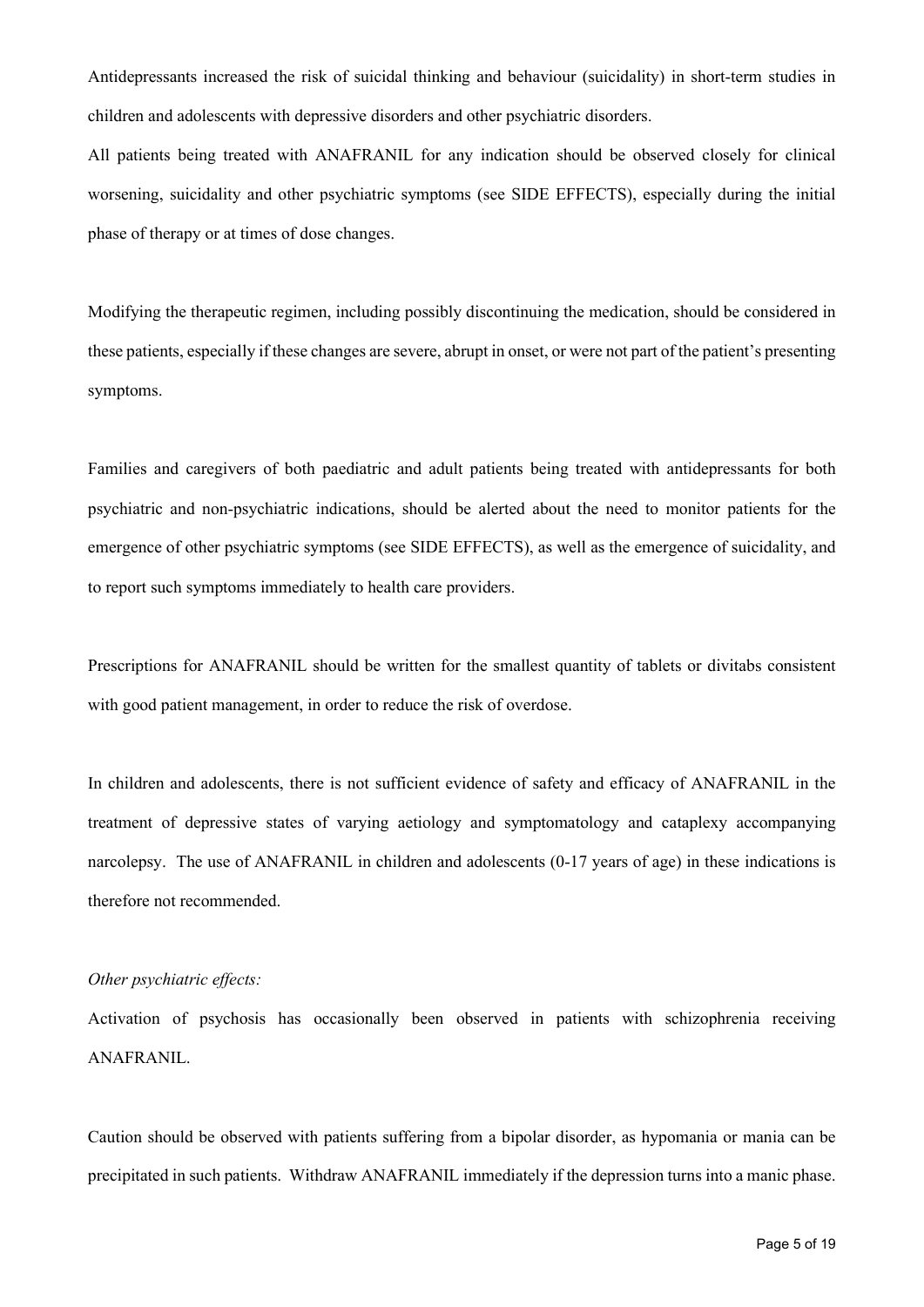Antidepressants increased the risk of suicidal thinking and behaviour (suicidality) in short-term studies in children and adolescents with depressive disorders and other psychiatric disorders.

All patients being treated with ANAFRANIL for any indication should be observed closely for clinical worsening, suicidality and other psychiatric symptoms (see SIDE EFFECTS), especially during the initial phase of therapy or at times of dose changes.

Modifying the therapeutic regimen, including possibly discontinuing the medication, should be considered in these patients, especially if these changes are severe, abrupt in onset, or were not part of the patient's presenting symptoms.

Families and caregivers of both paediatric and adult patients being treated with antidepressants for both psychiatric and non-psychiatric indications, should be alerted about the need to monitor patients for the emergence of other psychiatric symptoms (see SIDE EFFECTS), as well as the emergence of suicidality, and to report such symptoms immediately to health care providers.

Prescriptions for ANAFRANIL should be written for the smallest quantity of tablets or divitabs consistent with good patient management, in order to reduce the risk of overdose.

In children and adolescents, there is not sufficient evidence of safety and efficacy of ANAFRANIL in the treatment of depressive states of varying aetiology and symptomatology and cataplexy accompanying narcolepsy. The use of ANAFRANIL in children and adolescents (0-17 years of age) in these indications is therefore not recommended.

## *Other psychiatric effects:*

Activation of psychosis has occasionally been observed in patients with schizophrenia receiving ANAFRANIL.

Caution should be observed with patients suffering from a bipolar disorder, as hypomania or mania can be precipitated in such patients. Withdraw ANAFRANIL immediately if the depression turns into a manic phase.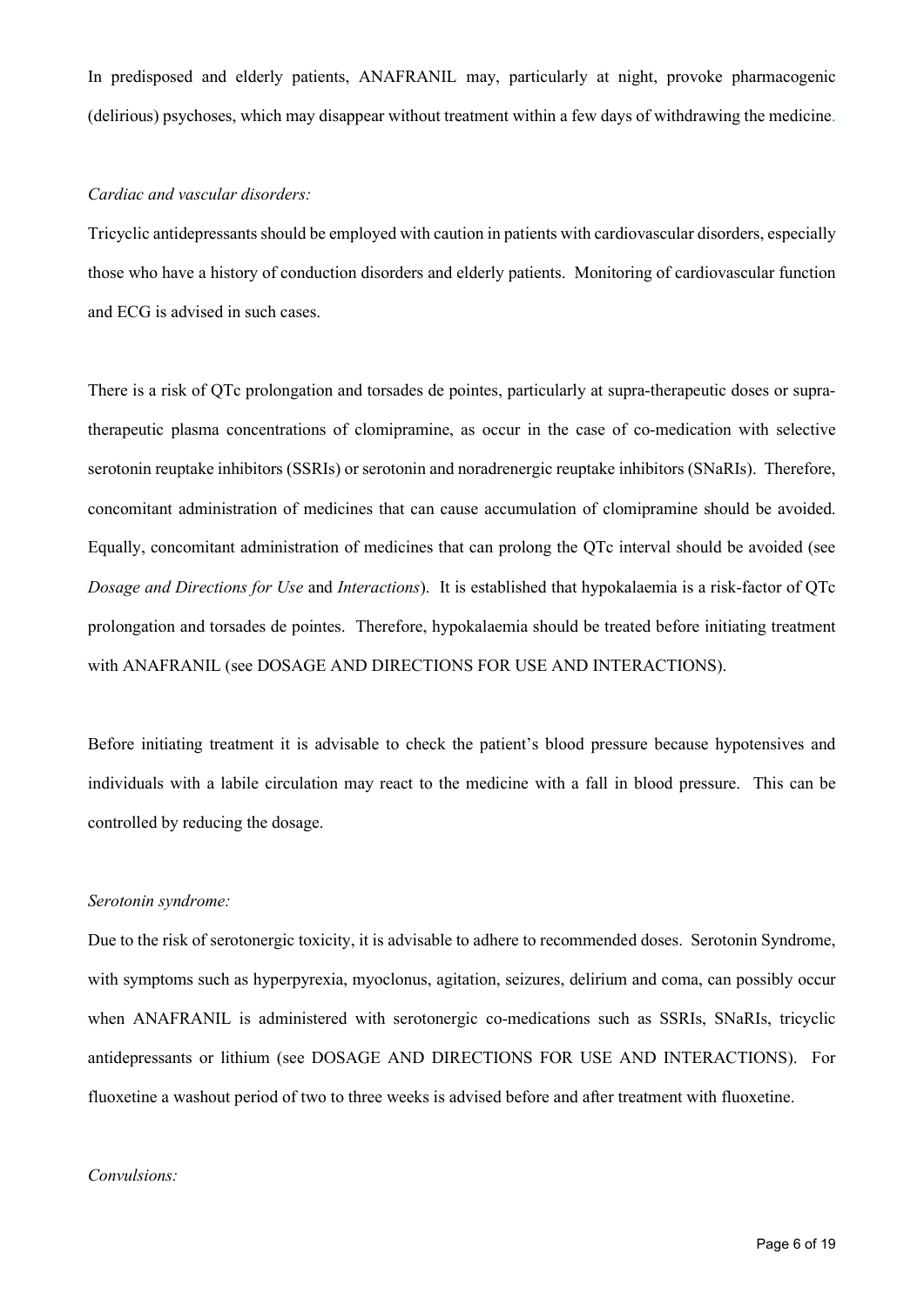In predisposed and elderly patients, ANAFRANIL may, particularly at night, provoke pharmacogenic (delirious) psychoses, which may disappear without treatment within a few days of withdrawing the medicine.

## *Cardiac and vascular disorders:*

Tricyclic antidepressants should be employed with caution in patients with cardiovascular disorders, especially those who have a history of conduction disorders and elderly patients. Monitoring of cardiovascular function and ECG is advised in such cases.

There is a risk of QTc prolongation and torsades de pointes, particularly at supra-therapeutic doses or supratherapeutic plasma concentrations of clomipramine, as occur in the case of co-medication with selective serotonin reuptake inhibitors (SSRIs) or serotonin and noradrenergic reuptake inhibitors (SNaRIs). Therefore, concomitant administration of medicines that can cause accumulation of clomipramine should be avoided. Equally, concomitant administration of medicines that can prolong the QTc interval should be avoided (see *Dosage and Directions for Use* and *Interactions*). It is established that hypokalaemia is a risk-factor of QTc prolongation and torsades de pointes. Therefore, hypokalaemia should be treated before initiating treatment with ANAFRANIL (see DOSAGE AND DIRECTIONS FOR USE AND INTERACTIONS).

Before initiating treatment it is advisable to check the patient's blood pressure because hypotensives and individuals with a labile circulation may react to the medicine with a fall in blood pressure. This can be controlled by reducing the dosage.

#### *Serotonin syndrome:*

Due to the risk of serotonergic toxicity, it is advisable to adhere to recommended doses. Serotonin Syndrome, with symptoms such as hyperpyrexia, myoclonus, agitation, seizures, delirium and coma, can possibly occur when ANAFRANIL is administered with serotonergic co-medications such as SSRIs, SNaRIs, tricyclic antidepressants or lithium (see DOSAGE AND DIRECTIONS FOR USE AND INTERACTIONS). For fluoxetine a washout period of two to three weeks is advised before and after treatment with fluoxetine.

#### *Convulsions:*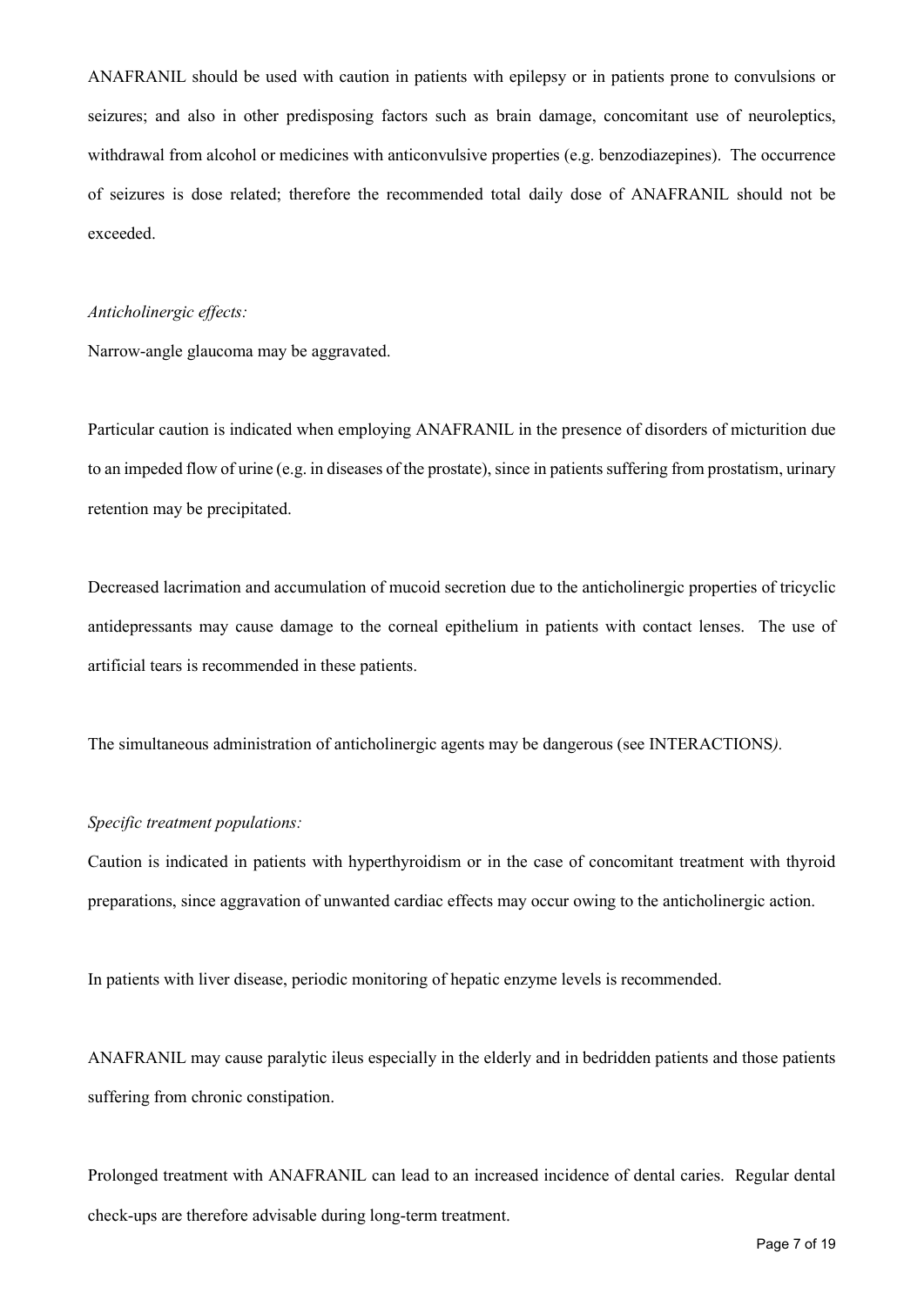ANAFRANIL should be used with caution in patients with epilepsy or in patients prone to convulsions or seizures; and also in other predisposing factors such as brain damage, concomitant use of neuroleptics, withdrawal from alcohol or medicines with anticonvulsive properties (e.g. benzodiazepines). The occurrence of seizures is dose related; therefore the recommended total daily dose of ANAFRANIL should not be exceeded.

#### *Anticholinergic effects:*

Narrow-angle glaucoma may be aggravated.

Particular caution is indicated when employing ANAFRANIL in the presence of disorders of micturition due to an impeded flow of urine (e.g. in diseases of the prostate), since in patients suffering from prostatism, urinary retention may be precipitated.

Decreased lacrimation and accumulation of mucoid secretion due to the anticholinergic properties of tricyclic antidepressants may cause damage to the corneal epithelium in patients with contact lenses. The use of artificial tears is recommended in these patients.

The simultaneous administration of anticholinergic agents may be dangerous (see INTERACTIONS*).*

## *Specific treatment populations:*

Caution is indicated in patients with hyperthyroidism or in the case of concomitant treatment with thyroid preparations, since aggravation of unwanted cardiac effects may occur owing to the anticholinergic action.

In patients with liver disease, periodic monitoring of hepatic enzyme levels is recommended.

ANAFRANIL may cause paralytic ileus especially in the elderly and in bedridden patients and those patients suffering from chronic constipation.

Prolonged treatment with ANAFRANIL can lead to an increased incidence of dental caries. Regular dental check-ups are therefore advisable during long-term treatment.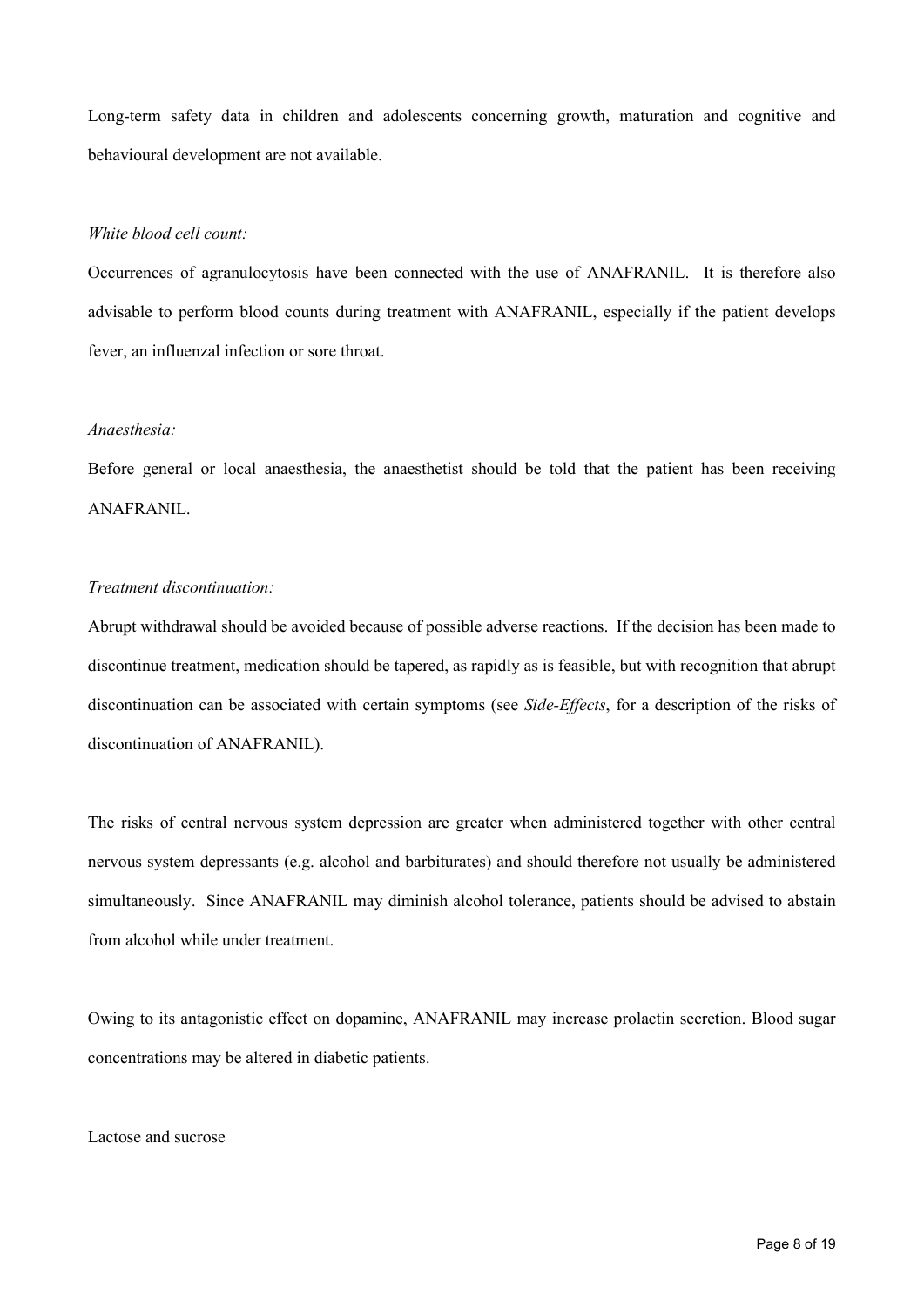Long-term safety data in children and adolescents concerning growth, maturation and cognitive and behavioural development are not available.

## *White blood cell count:*

Occurrences of agranulocytosis have been connected with the use of ANAFRANIL. It is therefore also advisable to perform blood counts during treatment with ANAFRANIL, especially if the patient develops fever, an influenzal infection or sore throat.

#### *Anaesthesia:*

Before general or local anaesthesia, the anaesthetist should be told that the patient has been receiving ANAFRANIL.

## *Treatment discontinuation:*

Abrupt withdrawal should be avoided because of possible adverse reactions. If the decision has been made to discontinue treatment, medication should be tapered, as rapidly as is feasible, but with recognition that abrupt discontinuation can be associated with certain symptoms (see *Side-Effects*, for a description of the risks of discontinuation of ANAFRANIL).

The risks of central nervous system depression are greater when administered together with other central nervous system depressants (e.g. alcohol and barbiturates) and should therefore not usually be administered simultaneously. Since ANAFRANIL may diminish alcohol tolerance, patients should be advised to abstain from alcohol while under treatment.

Owing to its antagonistic effect on dopamine, ANAFRANIL may increase prolactin secretion. Blood sugar concentrations may be altered in diabetic patients.

#### Lactose and sucrose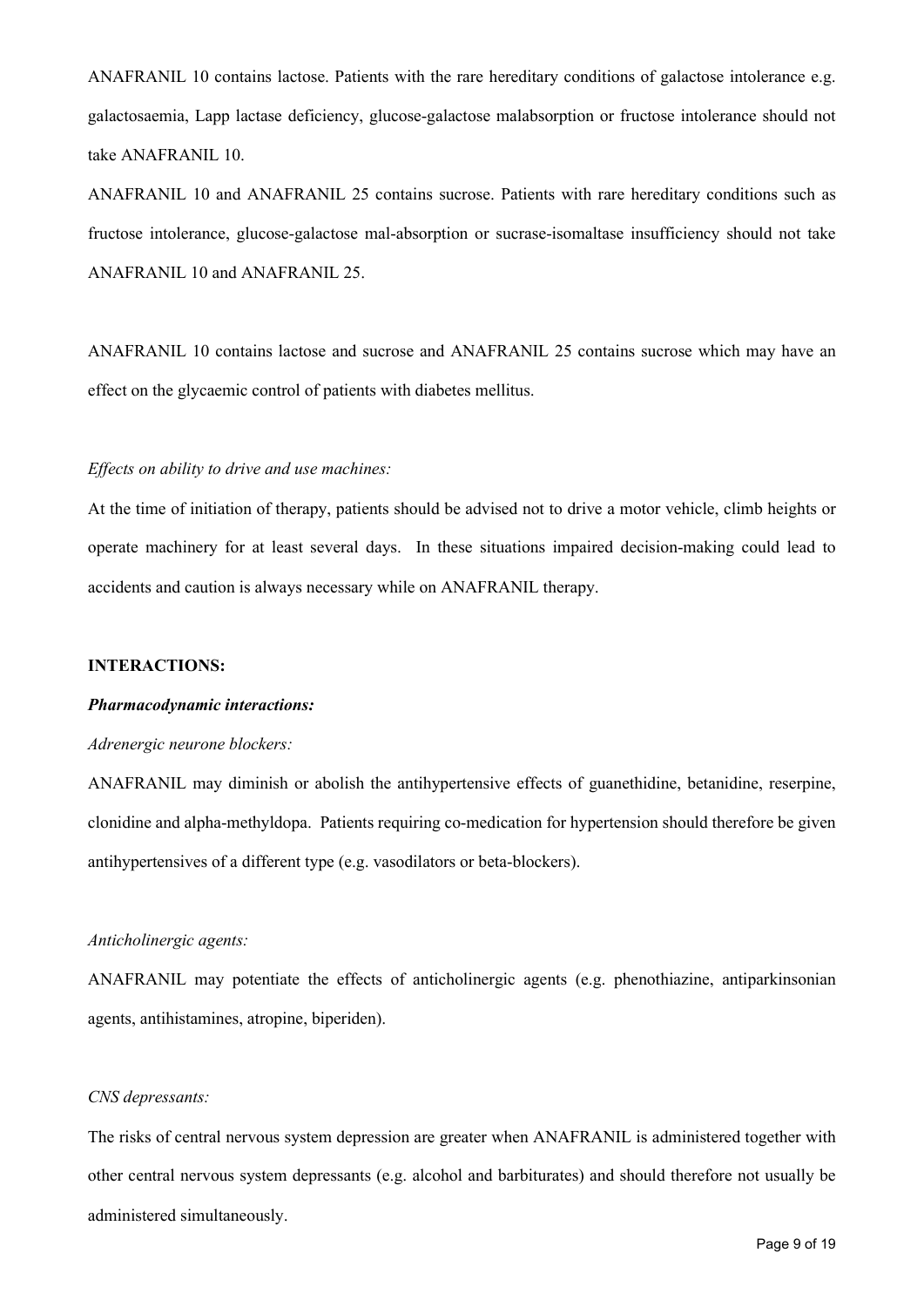ANAFRANIL 10 contains lactose. Patients with the rare hereditary conditions of galactose intolerance e.g. galactosaemia, Lapp lactase deficiency, glucose-galactose malabsorption or fructose intolerance should not take ANAFRANIL 10.

ANAFRANIL 10 and ANAFRANIL 25 contains sucrose. Patients with rare hereditary conditions such as fructose intolerance, glucose-galactose mal-absorption or sucrase-isomaltase insufficiency should not take ANAFRANIL 10 and ANAFRANIL 25.

ANAFRANIL 10 contains lactose and sucrose and ANAFRANIL 25 contains sucrose which may have an effect on the glycaemic control of patients with diabetes mellitus.

#### *Effects on ability to drive and use machines:*

At the time of initiation of therapy, patients should be advised not to drive a motor vehicle, climb heights or operate machinery for at least several days. In these situations impaired decision-making could lead to accidents and caution is always necessary while on ANAFRANIL therapy.

#### **INTERACTIONS:**

#### *Pharmacodynamic interactions:*

#### *Adrenergic neurone blockers:*

ANAFRANIL may diminish or abolish the antihypertensive effects of guanethidine, betanidine, reserpine, clonidine and alpha-methyldopa. Patients requiring co-medication for hypertension should therefore be given antihypertensives of a different type (e.g. vasodilators or beta-blockers).

#### *Anticholinergic agents:*

ANAFRANIL may potentiate the effects of anticholinergic agents (e.g. phenothiazine, antiparkinsonian agents, antihistamines, atropine, biperiden).

## *CNS depressants:*

The risks of central nervous system depression are greater when ANAFRANIL is administered together with other central nervous system depressants (e.g. alcohol and barbiturates) and should therefore not usually be administered simultaneously.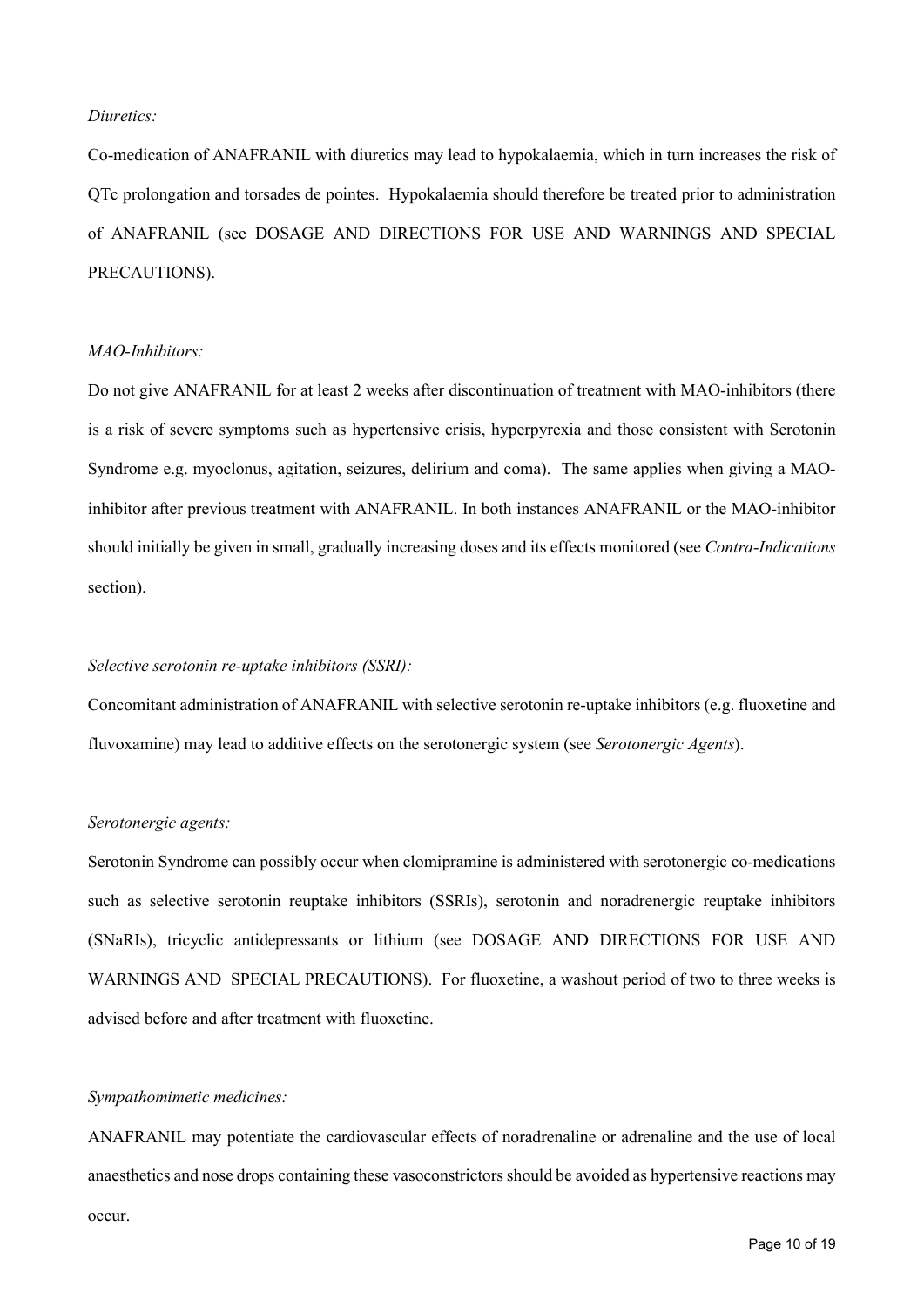## *Diuretics:*

Co-medication of ANAFRANIL with diuretics may lead to hypokalaemia, which in turn increases the risk of QTc prolongation and torsades de pointes. Hypokalaemia should therefore be treated prior to administration of ANAFRANIL (see DOSAGE AND DIRECTIONS FOR USE AND WARNINGS AND SPECIAL PRECAUTIONS).

#### *MAO-Inhibitors:*

Do not give ANAFRANIL for at least 2 weeks after discontinuation of treatment with MAO-inhibitors (there is a risk of severe symptoms such as hypertensive crisis, hyperpyrexia and those consistent with Serotonin Syndrome e.g. myoclonus, agitation, seizures, delirium and coma). The same applies when giving a MAOinhibitor after previous treatment with ANAFRANIL. In both instances ANAFRANIL or the MAO-inhibitor should initially be given in small, gradually increasing doses and its effects monitored (see *Contra-Indications* section).

#### *Selective serotonin re-uptake inhibitors (SSRI):*

Concomitant administration of ANAFRANIL with selective serotonin re-uptake inhibitors (e.g. fluoxetine and fluvoxamine) may lead to additive effects on the serotonergic system (see *Serotonergic Agents*).

#### *Serotonergic agents:*

Serotonin Syndrome can possibly occur when clomipramine is administered with serotonergic co-medications such as selective serotonin reuptake inhibitors (SSRIs), serotonin and noradrenergic reuptake inhibitors (SNaRIs), tricyclic antidepressants or lithium (see DOSAGE AND DIRECTIONS FOR USE AND WARNINGS AND SPECIAL PRECAUTIONS). For fluoxetine, a washout period of two to three weeks is advised before and after treatment with fluoxetine.

#### *Sympathomimetic medicines:*

ANAFRANIL may potentiate the cardiovascular effects of noradrenaline or adrenaline and the use of local anaesthetics and nose drops containing these vasoconstrictors should be avoided as hypertensive reactions may occur.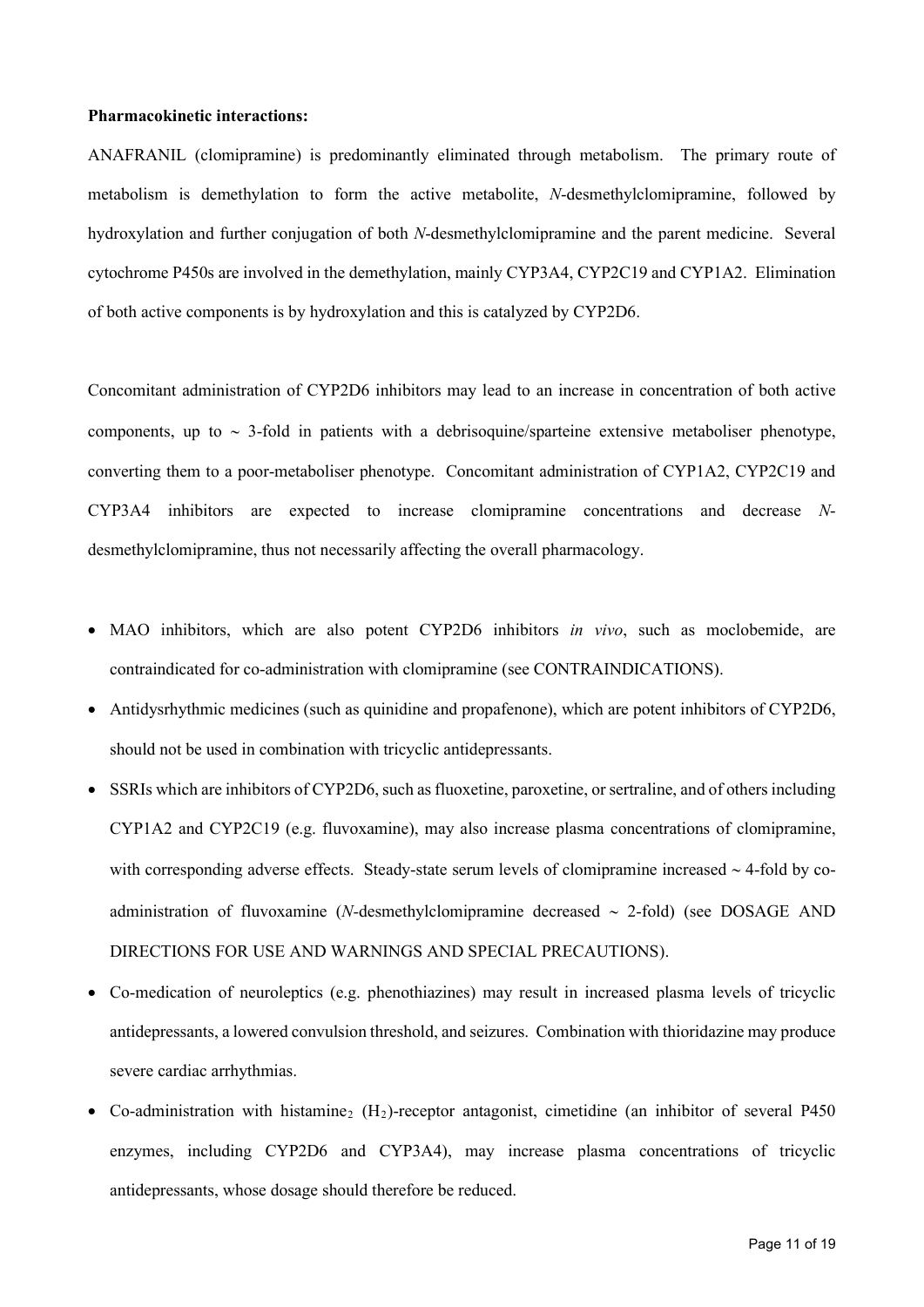#### **Pharmacokinetic interactions:**

ANAFRANIL (clomipramine) is predominantly eliminated through metabolism. The primary route of metabolism is demethylation to form the active metabolite, *N*-desmethylclomipramine, followed by hydroxylation and further conjugation of both *N*-desmethylclomipramine and the parent medicine. Several cytochrome P450s are involved in the demethylation, mainly CYP3A4, CYP2C19 and CYP1A2. Elimination of both active components is by hydroxylation and this is catalyzed by CYP2D6.

Concomitant administration of CYP2D6 inhibitors may lead to an increase in concentration of both active components, up to ∼ 3-fold in patients with a debrisoquine/sparteine extensive metaboliser phenotype, converting them to a poor-metaboliser phenotype. Concomitant administration of CYP1A2, CYP2C19 and CYP3A4 inhibitors are expected to increase clomipramine concentrations and decrease *N*desmethylclomipramine, thus not necessarily affecting the overall pharmacology.

- MAO inhibitors, which are also potent CYP2D6 inhibitors *in vivo*, such as moclobemide, are contraindicated for co-administration with clomipramine (see CONTRAINDICATIONS).
- Antidysrhythmic medicines (such as quinidine and propafenone), which are potent inhibitors of CYP2D6, should not be used in combination with tricyclic antidepressants.
- SSRIs which are inhibitors of CYP2D6, such as fluoxetine, paroxetine, or sertraline, and of others including CYP1A2 and CYP2C19 (e.g. fluvoxamine), may also increase plasma concentrations of clomipramine, with corresponding adverse effects. Steady-state serum levels of clomipramine increased ∼ 4-fold by coadministration of fluvoxamine (*N-*desmethylclomipramine decreased ∼ 2-fold) (see DOSAGE AND DIRECTIONS FOR USE AND WARNINGS AND SPECIAL PRECAUTIONS).
- Co-medication of neuroleptics (e.g. phenothiazines) may result in increased plasma levels of tricyclic antidepressants, a lowered convulsion threshold, and seizures. Combination with thioridazine may produce severe cardiac arrhythmias.
- Co-administration with histamine<sub>2</sub> (H<sub>2</sub>)-receptor antagonist, cimetidine (an inhibitor of several P450 enzymes, including CYP2D6 and CYP3A4), may increase plasma concentrations of tricyclic antidepressants, whose dosage should therefore be reduced.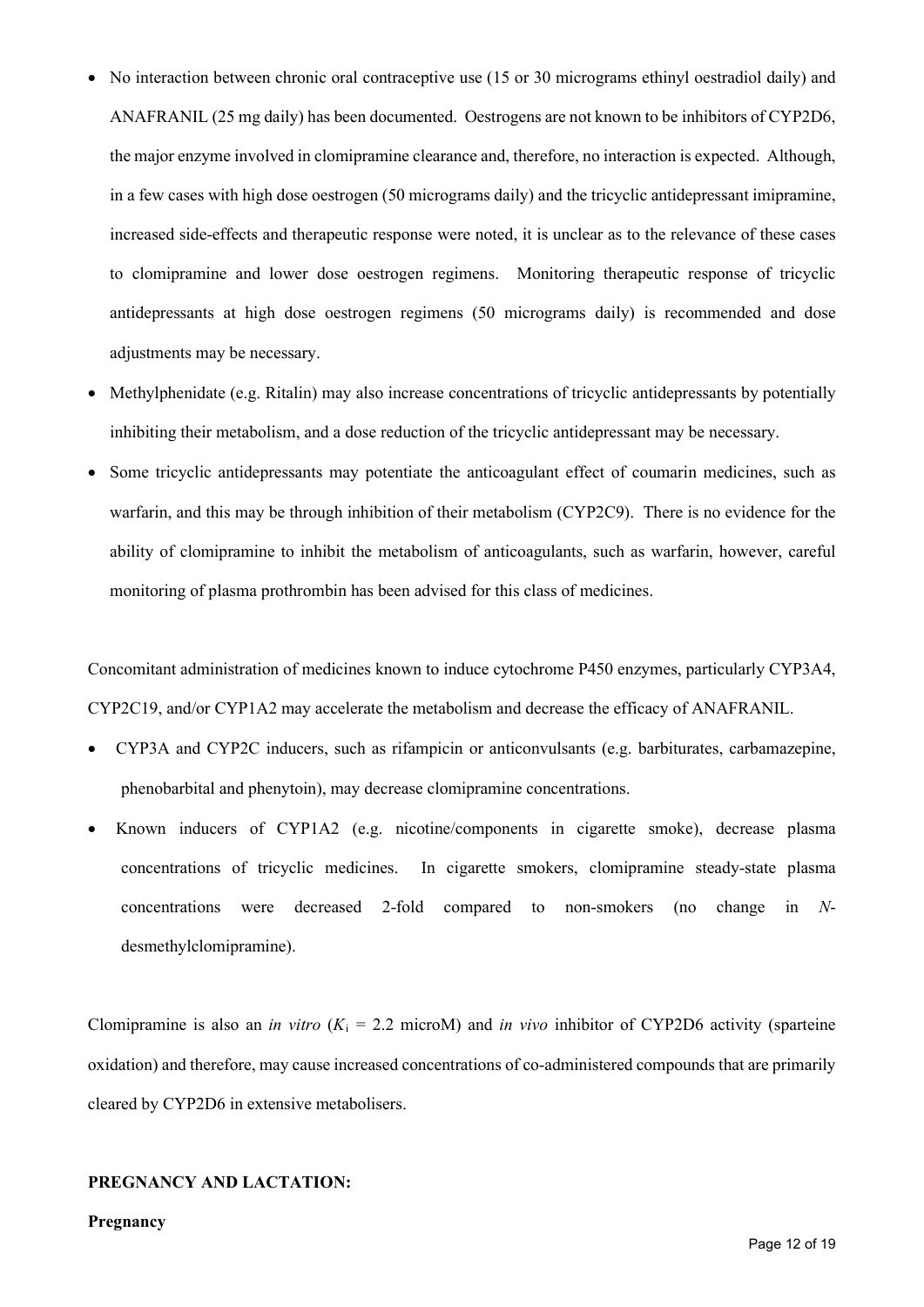- No interaction between chronic oral contraceptive use (15 or 30 micrograms ethinyl oestradiol daily) and ANAFRANIL (25 mg daily) has been documented. Oestrogens are not known to be inhibitors of CYP2D6, the major enzyme involved in clomipramine clearance and, therefore, no interaction is expected. Although, in a few cases with high dose oestrogen (50 micrograms daily) and the tricyclic antidepressant imipramine, increased side-effects and therapeutic response were noted, it is unclear as to the relevance of these cases to clomipramine and lower dose oestrogen regimens. Monitoring therapeutic response of tricyclic antidepressants at high dose oestrogen regimens (50 micrograms daily) is recommended and dose adjustments may be necessary.
- Methylphenidate (e.g. Ritalin) may also increase concentrations of tricyclic antidepressants by potentially inhibiting their metabolism, and a dose reduction of the tricyclic antidepressant may be necessary.
- Some tricyclic antidepressants may potentiate the anticoagulant effect of coumarin medicines, such as warfarin, and this may be through inhibition of their metabolism (CYP2C9). There is no evidence for the ability of clomipramine to inhibit the metabolism of anticoagulants, such as warfarin, however, careful monitoring of plasma prothrombin has been advised for this class of medicines.

Concomitant administration of medicines known to induce cytochrome P450 enzymes, particularly CYP3A4, CYP2C19, and/or CYP1A2 may accelerate the metabolism and decrease the efficacy of ANAFRANIL.

- CYP3A and CYP2C inducers, such as rifampicin or anticonvulsants (e.g. barbiturates, carbamazepine, phenobarbital and phenytoin), may decrease clomipramine concentrations.
- Known inducers of CYP1A2 (e.g. nicotine/components in cigarette smoke), decrease plasma concentrations of tricyclic medicines. In cigarette smokers, clomipramine steady-state plasma concentrations were decreased 2-fold compared to non-smokers (no change in *N*desmethylclomipramine).

Clomipramine is also an *in vitro* ( $K_i = 2.2$  microM) and *in vivo* inhibitor of CYP2D6 activity (sparteine oxidation) and therefore, may cause increased concentrations of co-administered compounds that are primarily cleared by CYP2D6 in extensive metabolisers.

## **PREGNANCY AND LACTATION:**

#### **Pregnancy**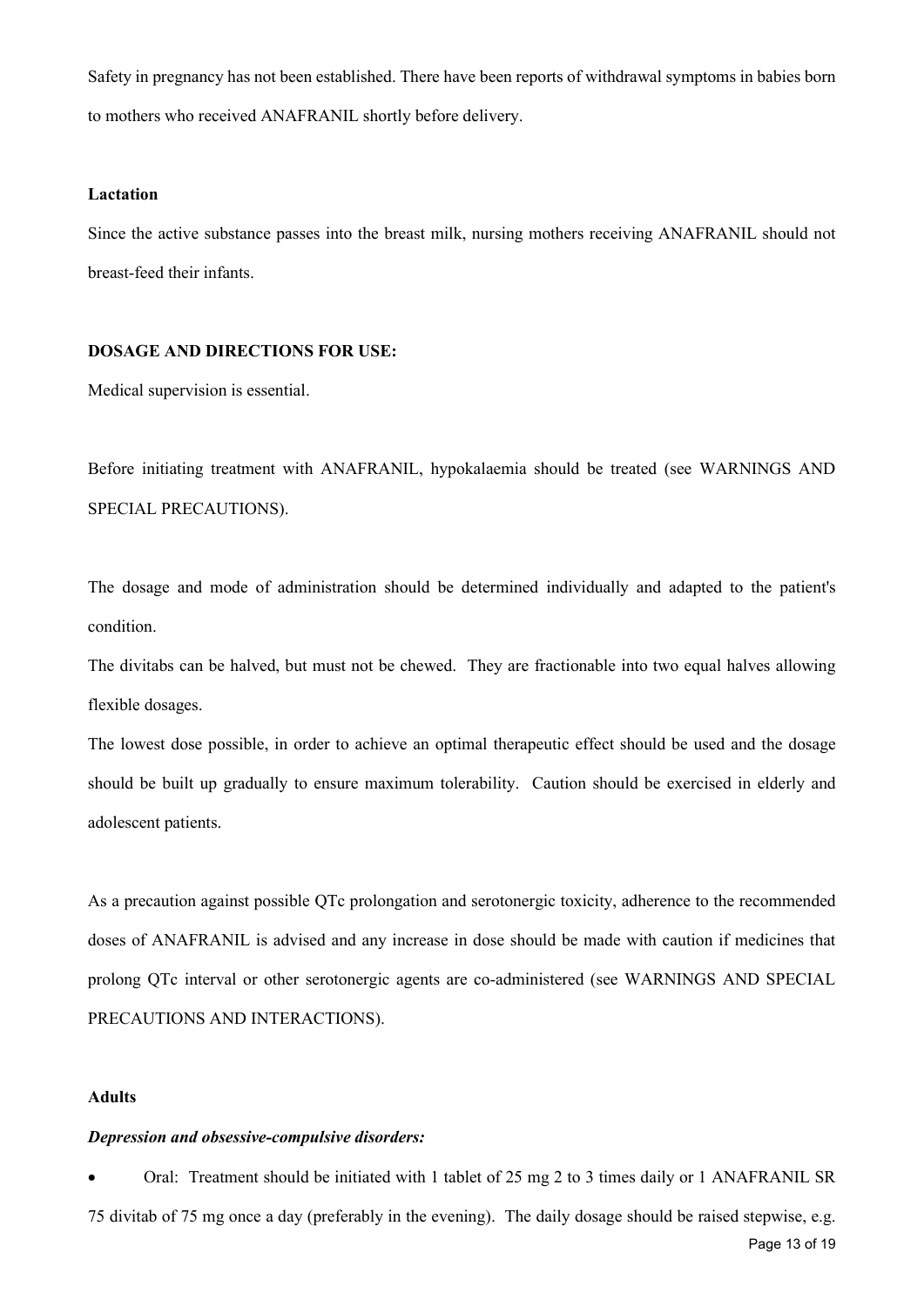Safety in pregnancy has not been established. There have been reports of withdrawal symptoms in babies born to mothers who received ANAFRANIL shortly before delivery.

## **Lactation**

Since the active substance passes into the breast milk, nursing mothers receiving ANAFRANIL should not breast-feed their infants.

## **DOSAGE AND DIRECTIONS FOR USE:**

Medical supervision is essential.

Before initiating treatment with ANAFRANIL, hypokalaemia should be treated (see WARNINGS AND SPECIAL PRECAUTIONS).

The dosage and mode of administration should be determined individually and adapted to the patient's condition.

The divitabs can be halved, but must not be chewed. They are fractionable into two equal halves allowing flexible dosages.

The lowest dose possible, in order to achieve an optimal therapeutic effect should be used and the dosage should be built up gradually to ensure maximum tolerability. Caution should be exercised in elderly and adolescent patients.

As a precaution against possible QTc prolongation and serotonergic toxicity, adherence to the recommended doses of ANAFRANIL is advised and any increase in dose should be made with caution if medicines that prolong QTc interval or other serotonergic agents are co-administered (see WARNINGS AND SPECIAL PRECAUTIONS AND INTERACTIONS).

#### **Adults**

#### *Depression and obsessive-compulsive disorders:*

Page 13 of 19 • Oral: Treatment should be initiated with 1 tablet of 25 mg 2 to 3 times daily or 1 ANAFRANIL SR 75 divitab of 75 mg once a day (preferably in the evening). The daily dosage should be raised stepwise, e.g.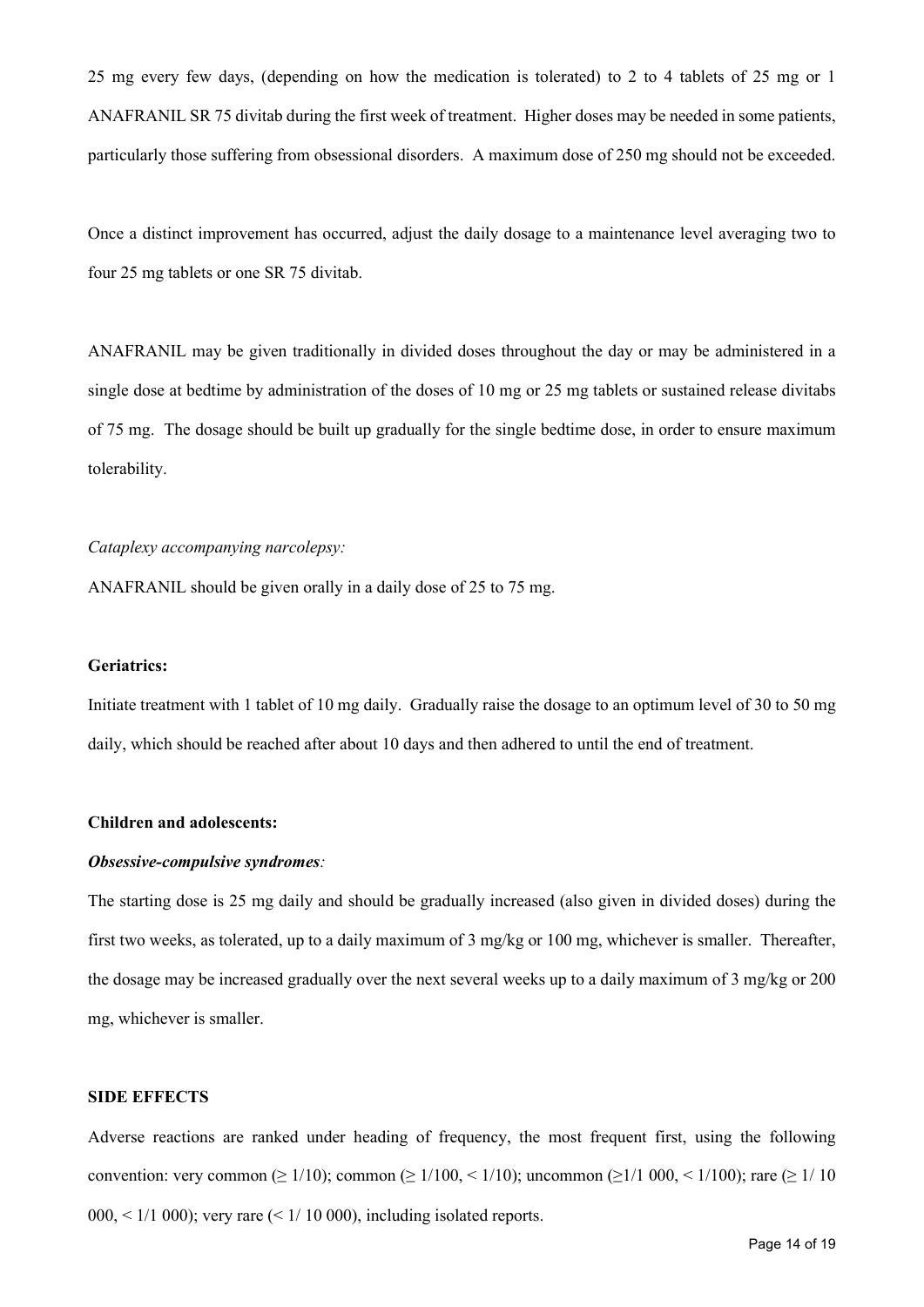25 mg every few days, (depending on how the medication is tolerated) to 2 to 4 tablets of 25 mg or 1 ANAFRANIL SR 75 divitab during the first week of treatment. Higher doses may be needed in some patients, particularly those suffering from obsessional disorders. A maximum dose of 250 mg should not be exceeded.

Once a distinct improvement has occurred, adjust the daily dosage to a maintenance level averaging two to four 25 mg tablets or one SR 75 divitab.

ANAFRANIL may be given traditionally in divided doses throughout the day or may be administered in a single dose at bedtime by administration of the doses of 10 mg or 25 mg tablets or sustained release divitabs of 75 mg. The dosage should be built up gradually for the single bedtime dose, in order to ensure maximum tolerability.

#### *Cataplexy accompanying narcolepsy:*

ANAFRANIL should be given orally in a daily dose of 25 to 75 mg.

#### **Geriatrics:**

Initiate treatment with 1 tablet of 10 mg daily. Gradually raise the dosage to an optimum level of 30 to 50 mg daily, which should be reached after about 10 days and then adhered to until the end of treatment.

## **Children and adolescents:**

#### *Obsessive-compulsive syndromes:*

The starting dose is 25 mg daily and should be gradually increased (also given in divided doses) during the first two weeks, as tolerated, up to a daily maximum of 3 mg/kg or 100 mg, whichever is smaller. Thereafter, the dosage may be increased gradually over the next several weeks up to a daily maximum of 3 mg/kg or 200 mg, whichever is smaller.

#### **SIDE EFFECTS**

Adverse reactions are ranked under heading of frequency, the most frequent first, using the following convention: very common ( $\geq 1/10$ ); common ( $\geq 1/100$ ,  $\leq 1/10$ ); uncommon ( $\geq 1/100$ ); rare ( $\geq 1/10$ )  $000 \le 1/1000$ ; very rare  $\le 1/10000$ , including isolated reports.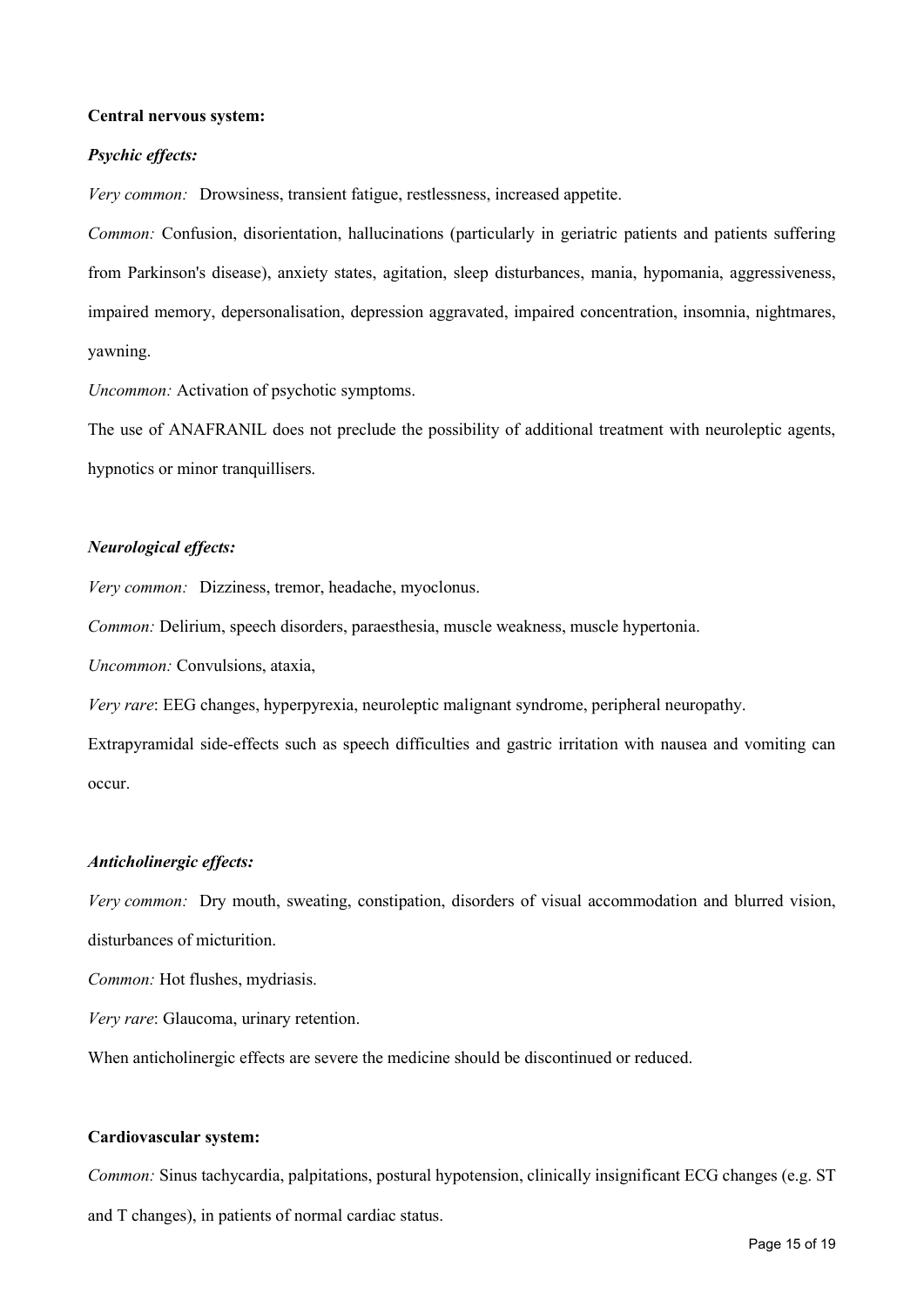## **Central nervous system:**

#### *Psychic effects:*

*Very common:* Drowsiness, transient fatigue, restlessness, increased appetite.

*Common:* Confusion, disorientation, hallucinations (particularly in geriatric patients and patients suffering from Parkinson's disease), anxiety states, agitation, sleep disturbances, mania, hypomania, aggressiveness, impaired memory, depersonalisation, depression aggravated, impaired concentration, insomnia, nightmares, yawning.

*Uncommon:* Activation of psychotic symptoms.

The use of ANAFRANIL does not preclude the possibility of additional treatment with neuroleptic agents, hypnotics or minor tranquillisers.

## *Neurological effects:*

*Very common:* Dizziness, tremor, headache, myoclonus.

*Common:* Delirium, speech disorders, paraesthesia, muscle weakness, muscle hypertonia.

*Uncommon:* Convulsions, ataxia,

*Very rare*: EEG changes, hyperpyrexia, neuroleptic malignant syndrome, peripheral neuropathy.

Extrapyramidal side-effects such as speech difficulties and gastric irritation with nausea and vomiting can occur.

#### *Anticholinergic effects:*

*Very common:* Dry mouth, sweating, constipation, disorders of visual accommodation and blurred vision, disturbances of micturition.

*Common:* Hot flushes, mydriasis.

*Very rare*: Glaucoma, urinary retention.

When anticholinergic effects are severe the medicine should be discontinued or reduced.

#### **Cardiovascular system:**

*Common:* Sinus tachycardia, palpitations, postural hypotension, clinically insignificant ECG changes (e.g. ST and T changes), in patients of normal cardiac status.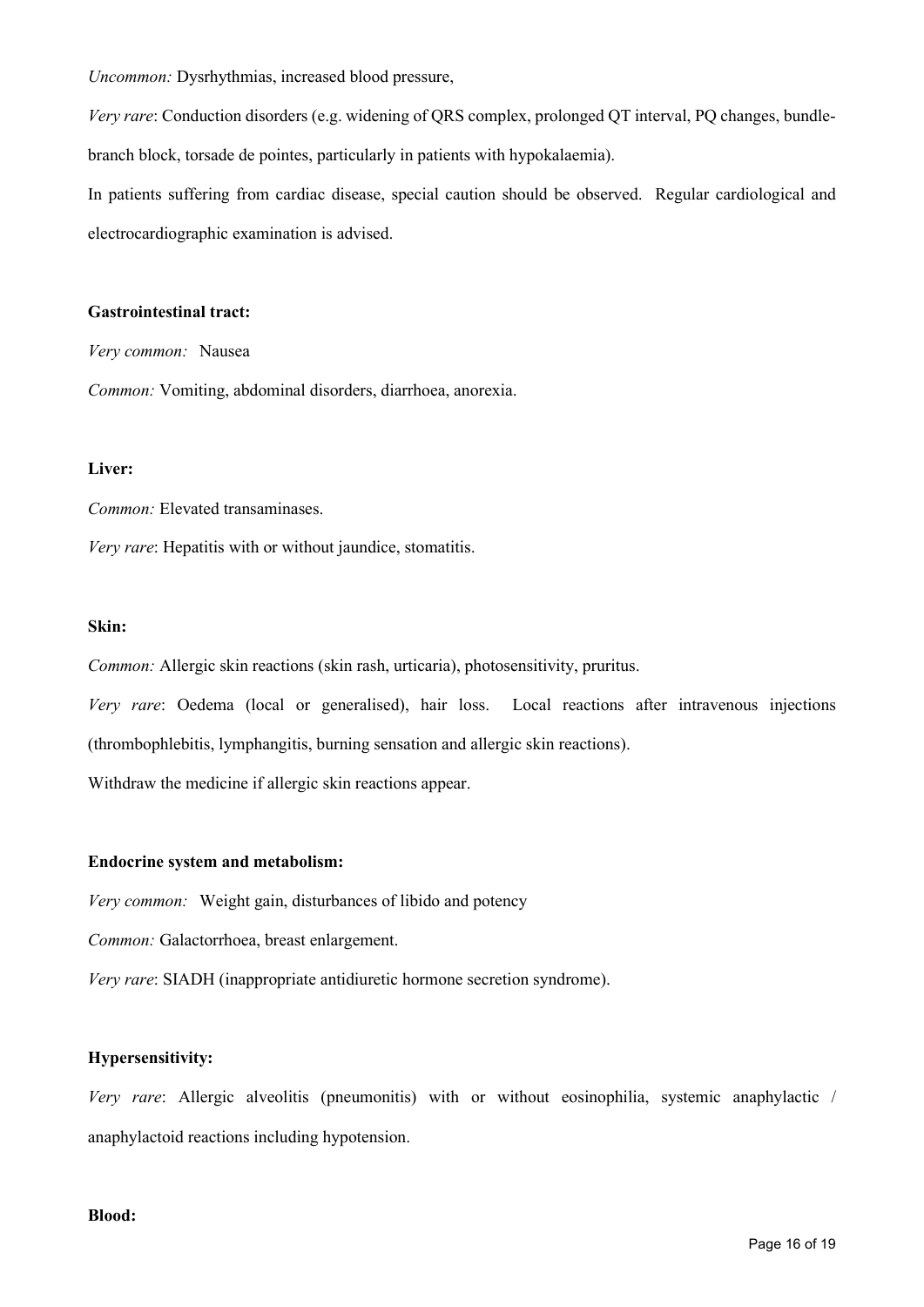*Uncommon:* Dysrhythmias, increased blood pressure,

*Very rare*: Conduction disorders (e.g. widening of QRS complex, prolonged QT interval, PQ changes, bundlebranch block, torsade de pointes, particularly in patients with hypokalaemia).

In patients suffering from cardiac disease, special caution should be observed. Regular cardiological and electrocardiographic examination is advised.

## **Gastrointestinal tract:**

*Very common:* Nausea

*Common:* Vomiting, abdominal disorders, diarrhoea, anorexia.

## **Liver:**

*Common:* Elevated transaminases.

*Very rare*: Hepatitis with or without jaundice, stomatitis.

## **Skin:**

*Common:* Allergic skin reactions (skin rash, urticaria), photosensitivity, pruritus.

*Very rare*: Oedema (local or generalised), hair loss. Local reactions after intravenous injections (thrombophlebitis, lymphangitis, burning sensation and allergic skin reactions).

Withdraw the medicine if allergic skin reactions appear.

## **Endocrine system and metabolism:**

*Very common:* Weight gain, disturbances of libido and potency

*Common:* Galactorrhoea, breast enlargement.

*Very rare*: SIADH (inappropriate antidiuretic hormone secretion syndrome).

## **Hypersensitivity:**

*Very rare*: Allergic alveolitis (pneumonitis) with or without eosinophilia, systemic anaphylactic / anaphylactoid reactions including hypotension.

## **Blood:**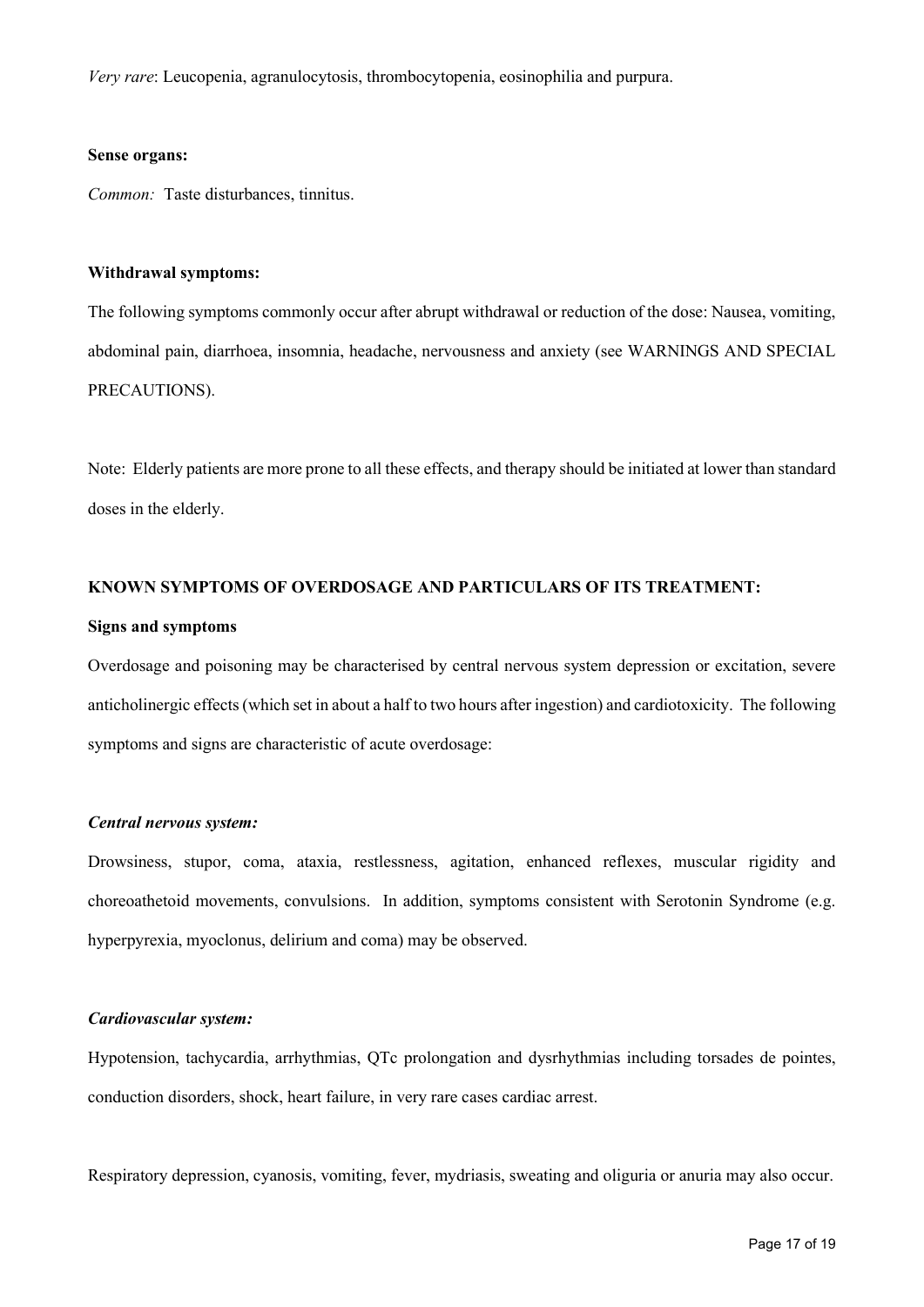*Very rare*: Leucopenia, agranulocytosis, thrombocytopenia, eosinophilia and purpura.

#### **Sense organs:**

*Common:* Taste disturbances, tinnitus.

#### **Withdrawal symptoms:**

The following symptoms commonly occur after abrupt withdrawal or reduction of the dose: Nausea, vomiting, abdominal pain, diarrhoea, insomnia, headache, nervousness and anxiety (see WARNINGS AND SPECIAL PRECAUTIONS).

Note: Elderly patients are more prone to all these effects, and therapy should be initiated at lower than standard doses in the elderly.

## **KNOWN SYMPTOMS OF OVERDOSAGE AND PARTICULARS OF ITS TREATMENT:**

#### **Signs and symptoms**

Overdosage and poisoning may be characterised by central nervous system depression or excitation, severe anticholinergic effects (which set in about a half to two hours after ingestion) and cardiotoxicity. The following symptoms and signs are characteristic of acute overdosage:

#### *Central nervous system:*

Drowsiness, stupor, coma, ataxia, restlessness, agitation, enhanced reflexes, muscular rigidity and choreoathetoid movements, convulsions. In addition, symptoms consistent with Serotonin Syndrome (e.g. hyperpyrexia, myoclonus, delirium and coma) may be observed.

## *Cardiovascular system:*

Hypotension, tachycardia, arrhythmias, QTc prolongation and dysrhythmias including torsades de pointes, conduction disorders, shock, heart failure, in very rare cases cardiac arrest.

Respiratory depression, cyanosis, vomiting, fever, mydriasis, sweating and oliguria or anuria may also occur.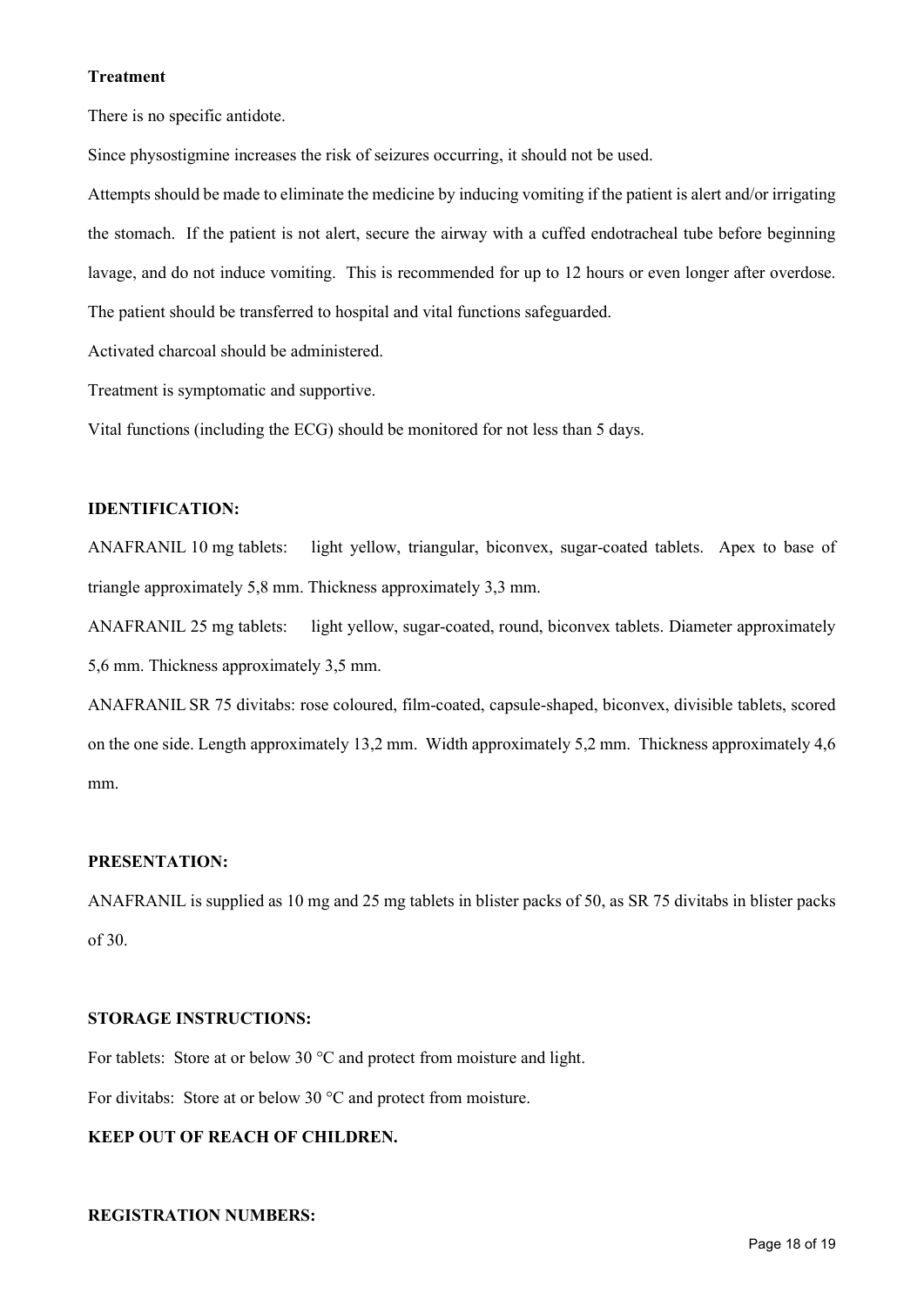## **Treatment**

There is no specific antidote.

Since physostigmine increases the risk of seizures occurring, it should not be used.

Attempts should be made to eliminate the medicine by inducing vomiting if the patient is alert and/or irrigating the stomach. If the patient is not alert, secure the airway with a cuffed endotracheal tube before beginning lavage, and do not induce vomiting. This is recommended for up to 12 hours or even longer after overdose. The patient should be transferred to hospital and vital functions safeguarded.

Activated charcoal should be administered.

Treatment is symptomatic and supportive.

Vital functions (including the ECG) should be monitored for not less than 5 days.

## **IDENTIFICATION:**

ANAFRANIL 10 mg tablets: light yellow, triangular, biconvex, sugar-coated tablets. Apex to base of triangle approximately 5,8 mm. Thickness approximately 3,3 mm.

ANAFRANIL 25 mg tablets: light yellow, sugar-coated, round, biconvex tablets. Diameter approximately 5,6 mm. Thickness approximately 3,5 mm.

ANAFRANIL SR 75 divitabs: rose coloured, film-coated, capsule-shaped, biconvex, divisible tablets, scored on the one side. Length approximately 13,2 mm. Width approximately 5,2 mm. Thickness approximately 4,6 mm.

## **PRESENTATION:**

ANAFRANIL is supplied as 10 mg and 25 mg tablets in blister packs of 50, as SR 75 divitabs in blister packs of 30.

## **STORAGE INSTRUCTIONS:**

For tablets: Store at or below 30 °C and protect from moisture and light.

For divitabs: Store at or below 30 °C and protect from moisture.

# **KEEP OUT OF REACH OF CHILDREN.**

## **REGISTRATION NUMBERS:**